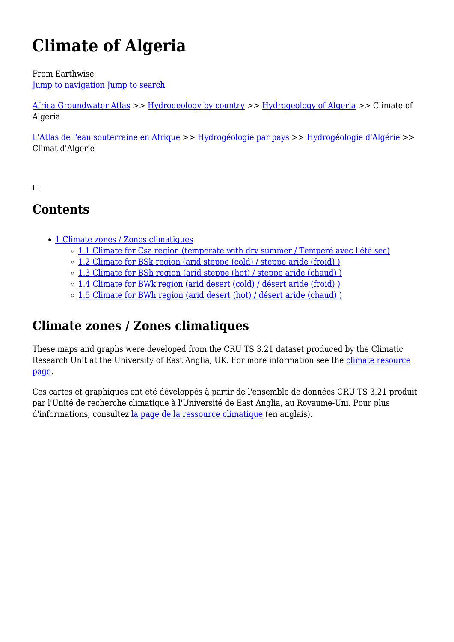# **Climate of Algeria**

From Earthwise [Jump to navigation](#page--1-0) [Jump to search](#page--1-0)

[Africa Groundwater Atlas](http://earthwise.bgs.ac.uk/index.php/Africa_Groundwater_Atlas_Home) >> [Hydrogeology by country](http://earthwise.bgs.ac.uk/index.php/Hydrogeology_by_country) >> [Hydrogeology of Algeria](http://earthwise.bgs.ac.uk/index.php/Hydrogeology_of_Algeria) >> Climate of Algeria

[L'Atlas de l'eau souterraine en Afrique](http://earthwise.bgs.ac.uk/index.php/Atlas_Eaux_Souterraines_Afrique) >> [Hydrogéologie par pays](http://earthwise.bgs.ac.uk/index.php/Hydrog%C3%A9ologie_par_pays) >> [Hydrogéologie d'Algérie](http://earthwise.bgs.ac.uk/index.php/Hydrog%C3%A9ologie_d%27Alg%C3%A9rie) >> Climat d'Algerie

 $\Box$ 

# **Contents**

- [1](#Climate_zones_.2F_Zones_climatiques) [Climate zones / Zones climatiques](#Climate_zones_.2F_Zones_climatiques)
	- o [1.1](#Climate_for_Csa_region_.28temperate_with_dry_summer_.2F_Temp.C3.A9r.C3.A9_avec_l.27.C3.A9t.C3.A9_sec.29) [Climate for Csa region \(temperate with dry summer / Tempéré avec l'été sec\)](#Climate_for_Csa_region_.28temperate_with_dry_summer_.2F_Temp.C3.A9r.C3.A9_avec_l.27.C3.A9t.C3.A9_sec.29)
	- o [1.2](#Climate_for_BSk_region_.28arid_steppe_.28cold.29_.2F_steppe_aride_.28froid.29_.29) [Climate for BSk region \(arid steppe \(cold\) / steppe aride \(froid\) \)](#Climate_for_BSk_region_.28arid_steppe_.28cold.29_.2F_steppe_aride_.28froid.29_.29)
	- [1.3](#Climate_for_BSh_region_.28arid_steppe_.28hot.29_.2F_steppe_aride_.28chaud.29_.29) [Climate for BSh region \(arid steppe \(hot\) / steppe aride \(chaud\) \)](#Climate_for_BSh_region_.28arid_steppe_.28hot.29_.2F_steppe_aride_.28chaud.29_.29)
	- [1.4](#Climate_for_BWk_region_.28arid_desert_.28cold.29_.2F_d.C3.A9sert_aride_.28froid.29_.29) [Climate for BWk region \(arid desert \(cold\) / désert aride \(froid\) \)](#Climate_for_BWk_region_.28arid_desert_.28cold.29_.2F_d.C3.A9sert_aride_.28froid.29_.29)
	- $\circ$  [1.5](#Climate_for_BWh_region_.28arid_desert_.28hot.29_.2F_d.C3.A9sert_aride_.28chaud.29_.29) Climate for BWh region (arid desert (hot) / désert aride (chaud))

# **Climate zones / Zones climatiques**

These maps and graphs were developed from the CRU TS 3.21 dataset produced by the Climatic Research Unit at the University of East Anglia, UK. For more information see the [climate resource](http://earthwise.bgs.ac.uk/index.php/Climate) [page.](http://earthwise.bgs.ac.uk/index.php/Climate)

Ces cartes et graphiques ont été développés à partir de l'ensemble de données CRU TS 3.21 produit par l'Unité de recherche climatique à l'Université de East Anglia, au Royaume-Uni. Pour plus d'informations, consultez [la page de la ressource climatique](http://earthwise.bgs.ac.uk/index.php/Climate) (en anglais).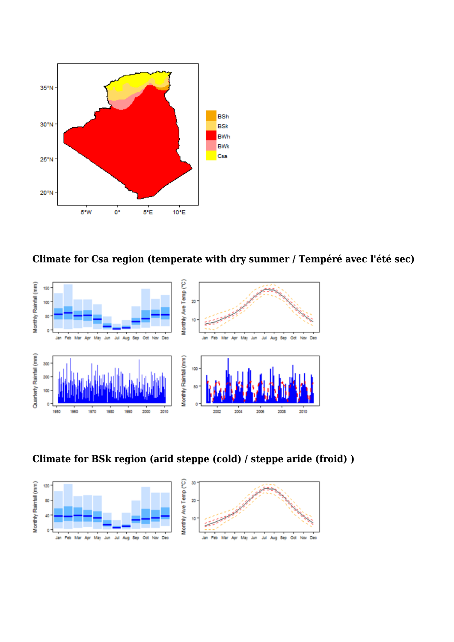

**Climate for Csa region (temperate with dry summer / Tempéré avec l'été sec)**



**Climate for BSk region (arid steppe (cold) / steppe aride (froid) )**

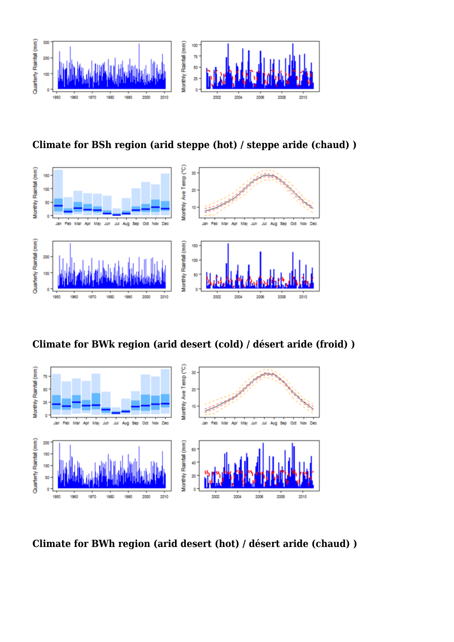

**Climate for BSh region (arid steppe (hot) / steppe aride (chaud) )**



**Climate for BWk region (arid desert (cold) / désert aride (froid) )**



**Climate for BWh region (arid desert (hot) / désert aride (chaud) )**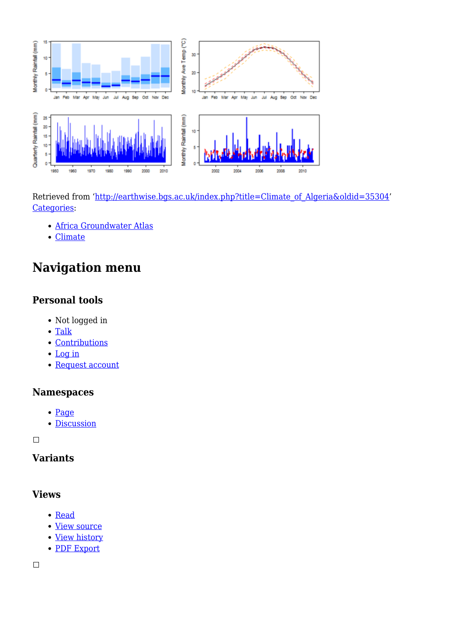

Retrieved from ['http://earthwise.bgs.ac.uk/index.php?title=Climate\\_of\\_Algeria&oldid=35304](http://earthwise.bgs.ac.uk/index.php?title=Climate_of_Algeria&oldid=35304)' [Categories:](http://earthwise.bgs.ac.uk/index.php/Special:Categories)

- [Africa Groundwater Atlas](http://earthwise.bgs.ac.uk/index.php/Category:Africa_Groundwater_Atlas)
- [Climate](http://earthwise.bgs.ac.uk/index.php/Category:Climate)

# **Navigation menu**

## **Personal tools**

- Not logged in
- [Talk](http://earthwise.bgs.ac.uk/index.php/Special:MyTalk)
- [Contributions](http://earthwise.bgs.ac.uk/index.php/Special:MyContributions)
- [Log in](http://earthwise.bgs.ac.uk/index.php?title=Special:UserLogin&returnto=Climate+of+Algeria&returntoquery=action%3Dmpdf)
- [Request account](http://earthwise.bgs.ac.uk/index.php/Special:RequestAccount)

## **Namespaces**

- [Page](http://earthwise.bgs.ac.uk/index.php/Climate_of_Algeria)
- [Discussion](http://earthwise.bgs.ac.uk/index.php?title=Talk:Climate_of_Algeria&action=edit&redlink=1)

 $\Box$ 

# **Variants**

#### **Views**

- [Read](http://earthwise.bgs.ac.uk/index.php/Climate_of_Algeria)
- [View source](http://earthwise.bgs.ac.uk/index.php?title=Climate_of_Algeria&action=edit)
- [View history](http://earthwise.bgs.ac.uk/index.php?title=Climate_of_Algeria&action=history)
- [PDF Export](http://earthwise.bgs.ac.uk/index.php?title=Climate_of_Algeria&action=mpdf)

 $\Box$